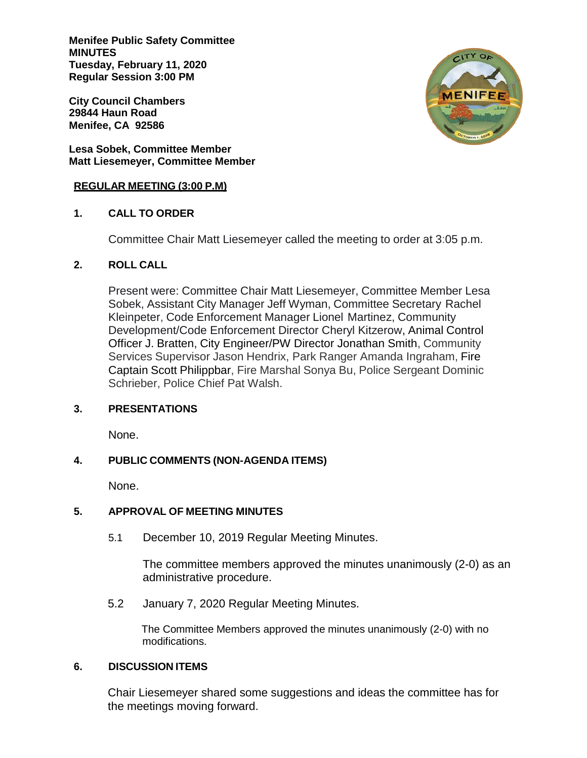**Menifee Public Safety Committee MINUTES Tuesday, February 11, 2020 Regular Session 3:00 PM**

**City Council Chambers 29844 Haun Road Menifee, CA 92586**

**Lesa Sobek, Committee Member Matt Liesemeyer, Committee Member**

#### **REGULAR MEETING (3:00 P.M)**

# **1. CALL TO ORDER**

Committee Chair Matt Liesemeyer called the meeting to order at 3:05 p.m.

# **2. ROLL CALL**

Present were: Committee Chair Matt Liesemeyer, Committee Member Lesa Sobek, Assistant City Manager Jeff Wyman, Committee Secretary Rachel Kleinpeter, Code Enforcement Manager Lionel Martinez, Community Development/Code Enforcement Director Cheryl Kitzerow, Animal Control Officer J. Bratten, City Engineer/PW Director Jonathan Smith, Community Services Supervisor Jason Hendrix, Park Ranger Amanda Ingraham, Fire Captain Scott Philippbar, Fire Marshal Sonya Bu, Police Sergeant Dominic Schrieber, Police Chief Pat Walsh.

# **3. PRESENTATIONS**

None.

# **4. PUBLIC COMMENTS (NON-AGENDA ITEMS)**

None.

# **5. APPROVAL OF MEETING MINUTES**

5.1 December 10, 2019 Regular Meeting Minutes.

The committee members approved the minutes unanimously (2-0) as an administrative procedure.

5.2 January 7, 2020 Regular Meeting Minutes.

 The Committee Members approved the minutes unanimously (2-0) with no modifications.

# **6. DISCUSSION ITEMS**

Chair Liesemeyer shared some suggestions and ideas the committee has for the meetings moving forward.

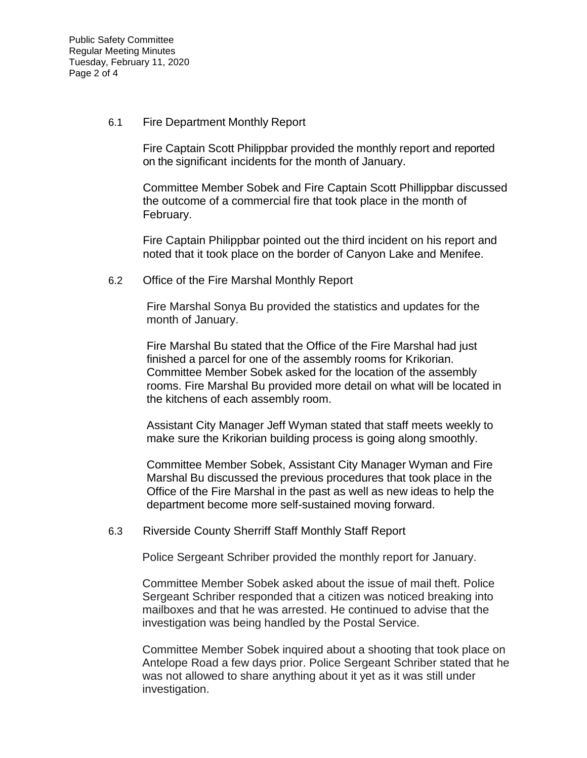6.1 Fire Department Monthly Report

Fire Captain Scott Philippbar provided the monthly report and reported on the significant incidents for the month of January.

Committee Member Sobek and Fire Captain Scott Phillippbar discussed the outcome of a commercial fire that took place in the month of February.

Fire Captain Philippbar pointed out the third incident on his report and noted that it took place on the border of Canyon Lake and Menifee.

6.2 Office of the Fire Marshal Monthly Report

Fire Marshal Sonya Bu provided the statistics and updates for the month of January.

Fire Marshal Bu stated that the Office of the Fire Marshal had just finished a parcel for one of the assembly rooms for Krikorian. Committee Member Sobek asked for the location of the assembly rooms. Fire Marshal Bu provided more detail on what will be located in the kitchens of each assembly room.

Assistant City Manager Jeff Wyman stated that staff meets weekly to make sure the Krikorian building process is going along smoothly.

Committee Member Sobek, Assistant City Manager Wyman and Fire Marshal Bu discussed the previous procedures that took place in the Office of the Fire Marshal in the past as well as new ideas to help the department become more self-sustained moving forward.

6.3 Riverside County Sherriff Staff Monthly Staff Report

Police Sergeant Schriber provided the monthly report for January.

Committee Member Sobek asked about the issue of mail theft. Police Sergeant Schriber responded that a citizen was noticed breaking into mailboxes and that he was arrested. He continued to advise that the investigation was being handled by the Postal Service.

Committee Member Sobek inquired about a shooting that took place on Antelope Road a few days prior. Police Sergeant Schriber stated that he was not allowed to share anything about it yet as it was still under investigation.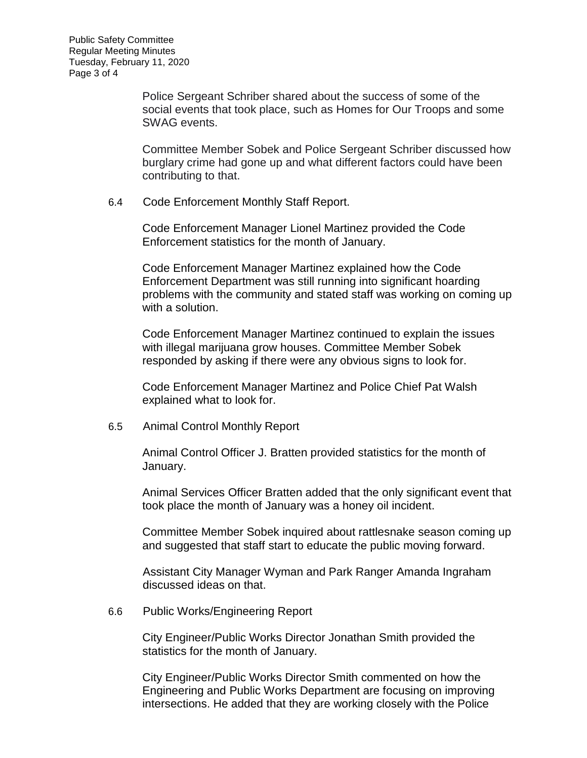Police Sergeant Schriber shared about the success of some of the social events that took place, such as Homes for Our Troops and some SWAG events.

Committee Member Sobek and Police Sergeant Schriber discussed how burglary crime had gone up and what different factors could have been contributing to that.

6.4 Code Enforcement Monthly Staff Report.

Code Enforcement Manager Lionel Martinez provided the Code Enforcement statistics for the month of January.

Code Enforcement Manager Martinez explained how the Code Enforcement Department was still running into significant hoarding problems with the community and stated staff was working on coming up with a solution.

Code Enforcement Manager Martinez continued to explain the issues with illegal marijuana grow houses. Committee Member Sobek responded by asking if there were any obvious signs to look for.

Code Enforcement Manager Martinez and Police Chief Pat Walsh explained what to look for.

6.5 Animal Control Monthly Report

Animal Control Officer J. Bratten provided statistics for the month of January.

Animal Services Officer Bratten added that the only significant event that took place the month of January was a honey oil incident.

Committee Member Sobek inquired about rattlesnake season coming up and suggested that staff start to educate the public moving forward.

Assistant City Manager Wyman and Park Ranger Amanda Ingraham discussed ideas on that.

6.6 Public Works/Engineering Report

City Engineer/Public Works Director Jonathan Smith provided the statistics for the month of January.

City Engineer/Public Works Director Smith commented on how the Engineering and Public Works Department are focusing on improving intersections. He added that they are working closely with the Police